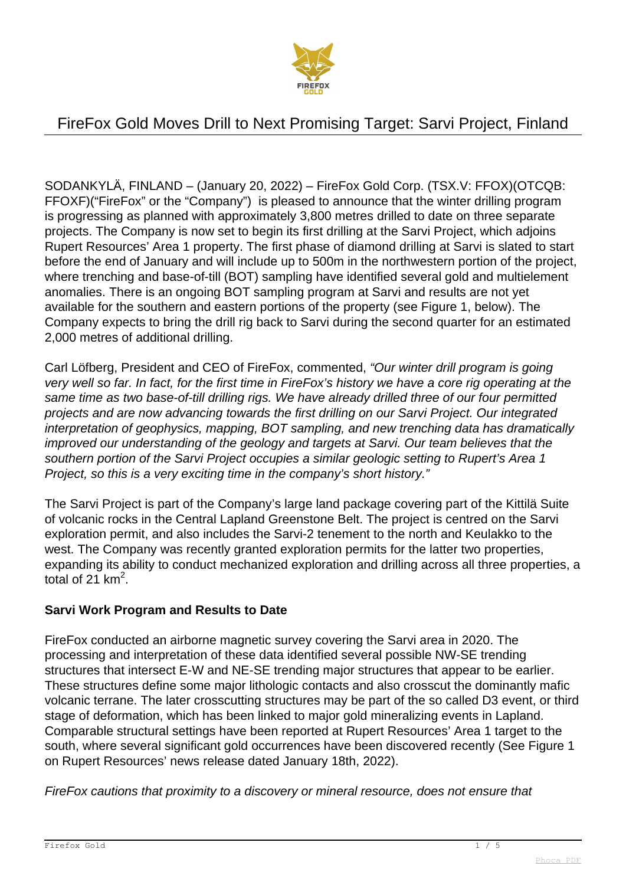

SODANKYLÄ, FINLAND – (January 20, 2022) – FireFox Gold Corp. (TSX.V: FFOX)(OTCQB: FFOXF)("FireFox" or the "Company") is pleased to announce that the winter drilling program is progressing as planned with approximately 3,800 metres drilled to date on three separate projects. The Company is now set to begin its first drilling at the Sarvi Project, which adjoins Rupert Resources' Area 1 property. The first phase of diamond drilling at Sarvi is slated to start before the end of January and will include up to 500m in the northwestern portion of the project, where trenching and base-of-till (BOT) sampling have identified several gold and multielement anomalies. There is an ongoing BOT sampling program at Sarvi and results are not yet available for the southern and eastern portions of the property (see Figure 1, below). The Company expects to bring the drill rig back to Sarvi during the second quarter for an estimated 2,000 metres of additional drilling.

Carl Löfberg, President and CEO of FireFox, commented, "Our winter drill program is going very well so far. In fact, for the first time in FireFox's history we have a core rig operating at the same time as two base-of-till drilling rigs. We have already drilled three of our four permitted projects and are now advancing towards the first drilling on our Sarvi Project. Our integrated interpretation of geophysics, mapping, BOT sampling, and new trenching data has dramatically improved our understanding of the geology and targets at Sarvi. Our team believes that the southern portion of the Sarvi Project occupies a similar geologic setting to Rupert's Area 1 Project, so this is a very exciting time in the company's short history."

The Sarvi Project is part of the Company's large land package covering part of the Kittilä Suite of volcanic rocks in the Central Lapland Greenstone Belt. The project is centred on the Sarvi exploration permit, and also includes the Sarvi-2 tenement to the north and Keulakko to the west. The Company was recently granted exploration permits for the latter two properties, expanding its ability to conduct mechanized exploration and drilling across all three properties, a total of 21  $km^2$ .

### **Sarvi Work Program and Results to Date**

FireFox conducted an airborne magnetic survey covering the Sarvi area in 2020. The processing and interpretation of these data identified several possible NW-SE trending structures that intersect E-W and NE-SE trending major structures that appear to be earlier. These structures define some major lithologic contacts and also crosscut the dominantly mafic volcanic terrane. The later crosscutting structures may be part of the so called D3 event, or third stage of deformation, which has been linked to major gold mineralizing events in Lapland. Comparable structural settings have been reported at Rupert Resources' Area 1 target to the south, where several significant gold occurrences have been discovered recently (See Figure 1 on Rupert Resources' news release dated January 18th, 2022).

FireFox cautions that proximity to a discovery or mineral resource, does not ensure that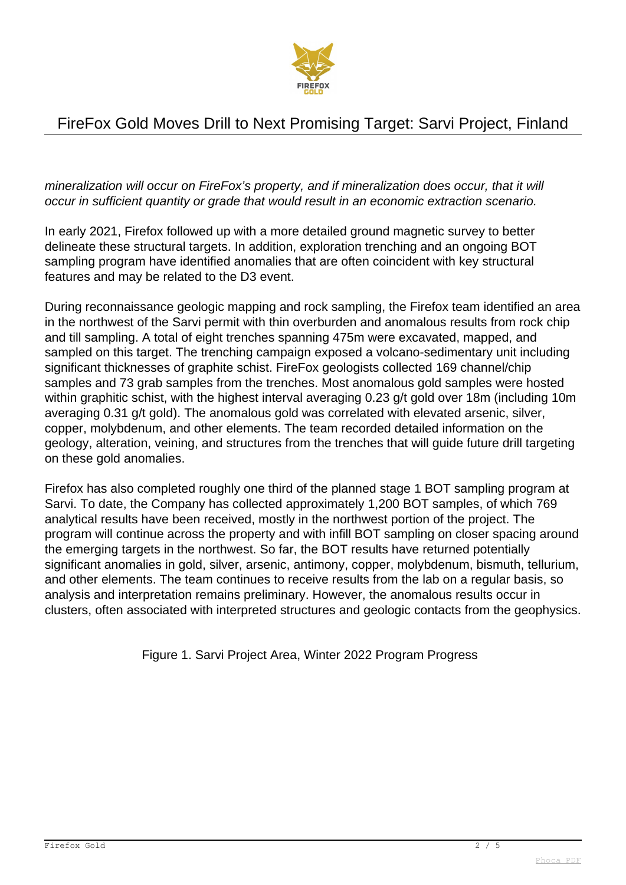

mineralization will occur on FireFox's property, and if mineralization does occur, that it will occur in sufficient quantity or grade that would result in an economic extraction scenario.

In early 2021, Firefox followed up with a more detailed ground magnetic survey to better delineate these structural targets. In addition, exploration trenching and an ongoing BOT sampling program have identified anomalies that are often coincident with key structural features and may be related to the D3 event.

During reconnaissance geologic mapping and rock sampling, the Firefox team identified an area in the northwest of the Sarvi permit with thin overburden and anomalous results from rock chip and till sampling. A total of eight trenches spanning 475m were excavated, mapped, and sampled on this target. The trenching campaign exposed a volcano-sedimentary unit including significant thicknesses of graphite schist. FireFox geologists collected 169 channel/chip samples and 73 grab samples from the trenches. Most anomalous gold samples were hosted within graphitic schist, with the highest interval averaging 0.23 g/t gold over 18m (including 10m averaging 0.31 g/t gold). The anomalous gold was correlated with elevated arsenic, silver, copper, molybdenum, and other elements. The team recorded detailed information on the geology, alteration, veining, and structures from the trenches that will guide future drill targeting on these gold anomalies.

Firefox has also completed roughly one third of the planned stage 1 BOT sampling program at Sarvi. To date, the Company has collected approximately 1,200 BOT samples, of which 769 analytical results have been received, mostly in the northwest portion of the project. The program will continue across the property and with infill BOT sampling on closer spacing around the emerging targets in the northwest. So far, the BOT results have returned potentially significant anomalies in gold, silver, arsenic, antimony, copper, molybdenum, bismuth, tellurium, and other elements. The team continues to receive results from the lab on a regular basis, so analysis and interpretation remains preliminary. However, the anomalous results occur in clusters, often associated with interpreted structures and geologic contacts from the geophysics.

Figure 1. Sarvi Project Area, Winter 2022 Program Progress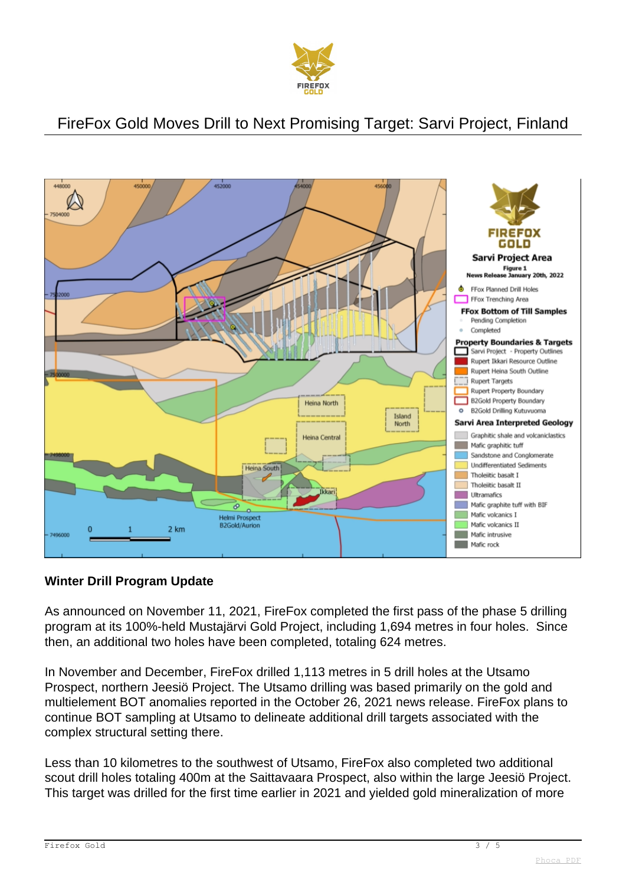



### **Winter Drill Program Update**

As announced on November 11, 2021, FireFox completed the first pass of the phase 5 drilling program at its 100%-held Mustajärvi Gold Project, including 1,694 metres in four holes. Since then, an additional two holes have been completed, totaling 624 metres.

In November and December, FireFox drilled 1,113 metres in 5 drill holes at the Utsamo Prospect, northern Jeesiö Project. The Utsamo drilling was based primarily on the gold and multielement BOT anomalies reported in the October 26, 2021 news release. FireFox plans to continue BOT sampling at Utsamo to delineate additional drill targets associated with the complex structural setting there.

Less than 10 kilometres to the southwest of Utsamo, FireFox also completed two additional scout drill holes totaling 400m at the Saittavaara Prospect, also within the large Jeesiö Project. This target was drilled for the first time earlier in 2021 and yielded gold mineralization of more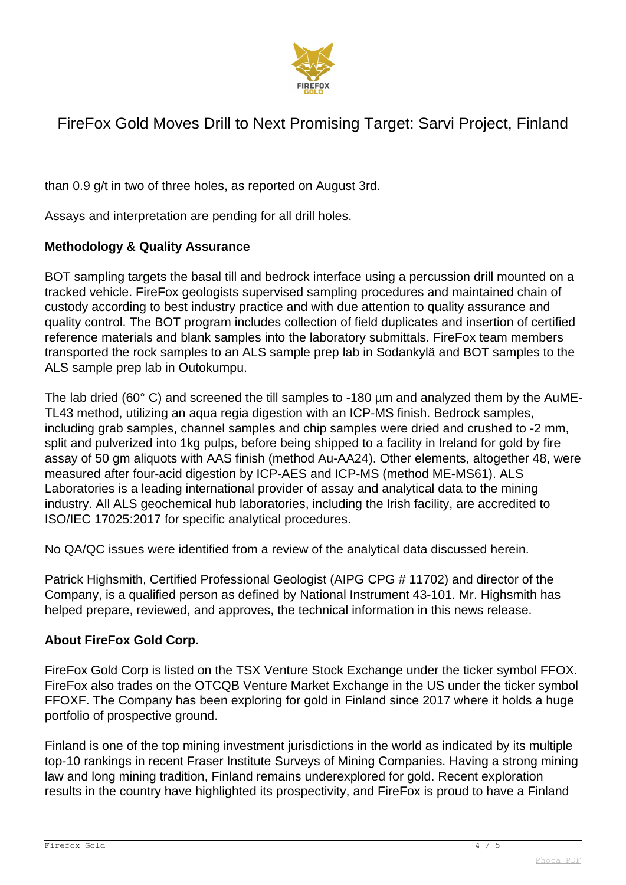

than 0.9 g/t in two of three holes, as reported on August 3rd.

Assays and interpretation are pending for all drill holes.

#### **Methodology & Quality Assurance**

BOT sampling targets the basal till and bedrock interface using a percussion drill mounted on a tracked vehicle. FireFox geologists supervised sampling procedures and maintained chain of custody according to best industry practice and with due attention to quality assurance and quality control. The BOT program includes collection of field duplicates and insertion of certified reference materials and blank samples into the laboratory submittals. FireFox team members transported the rock samples to an ALS sample prep lab in Sodankylä and BOT samples to the ALS sample prep lab in Outokumpu.

The lab dried (60° C) and screened the till samples to -180 µm and analyzed them by the AuME-TL43 method, utilizing an aqua regia digestion with an ICP-MS finish. Bedrock samples, including grab samples, channel samples and chip samples were dried and crushed to -2 mm, split and pulverized into 1kg pulps, before being shipped to a facility in Ireland for gold by fire assay of 50 gm aliquots with AAS finish (method Au-AA24). Other elements, altogether 48, were measured after four-acid digestion by ICP-AES and ICP-MS (method ME-MS61). ALS Laboratories is a leading international provider of assay and analytical data to the mining industry. All ALS geochemical hub laboratories, including the Irish facility, are accredited to ISO/IEC 17025:2017 for specific analytical procedures.

No QA/QC issues were identified from a review of the analytical data discussed herein.

Patrick Highsmith, Certified Professional Geologist (AIPG CPG # 11702) and director of the Company, is a qualified person as defined by National Instrument 43-101. Mr. Highsmith has helped prepare, reviewed, and approves, the technical information in this news release.

#### **About FireFox Gold Corp.**

FireFox Gold Corp is listed on the TSX Venture Stock Exchange under the ticker symbol FFOX. FireFox also trades on the OTCQB Venture Market Exchange in the US under the ticker symbol FFOXF. The Company has been exploring for gold in Finland since 2017 where it holds a huge portfolio of prospective ground.

Finland is one of the top mining investment jurisdictions in the world as indicated by its multiple top-10 rankings in recent Fraser Institute Surveys of Mining Companies. Having a strong mining law and long mining tradition, Finland remains underexplored for gold. Recent exploration results in the country have highlighted its prospectivity, and FireFox is proud to have a Finland